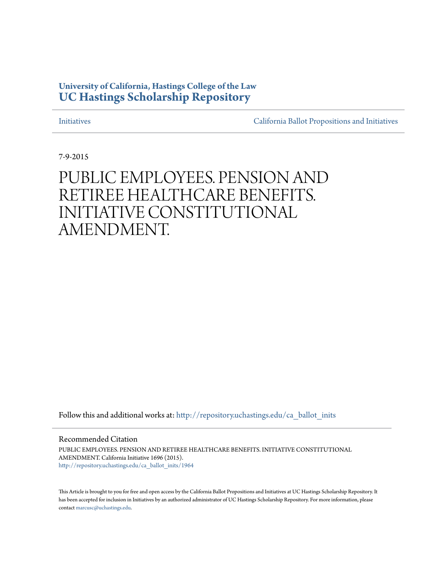### **University of California, Hastings College of the Law [UC Hastings Scholarship Repository](http://repository.uchastings.edu?utm_source=repository.uchastings.edu%2Fca_ballot_inits%2F1964&utm_medium=PDF&utm_campaign=PDFCoverPages)**

[Initiatives](http://repository.uchastings.edu/ca_ballot_inits?utm_source=repository.uchastings.edu%2Fca_ballot_inits%2F1964&utm_medium=PDF&utm_campaign=PDFCoverPages) [California Ballot Propositions and Initiatives](http://repository.uchastings.edu/ca_ballots?utm_source=repository.uchastings.edu%2Fca_ballot_inits%2F1964&utm_medium=PDF&utm_campaign=PDFCoverPages)

7-9-2015

### PUBLIC EMPLOYEES. PENSION AND RETIREE HEALTHCARE BENEFITS. INITIATIVE CONSTITUTIONAL AMENDMENT.

Follow this and additional works at: [http://repository.uchastings.edu/ca\\_ballot\\_inits](http://repository.uchastings.edu/ca_ballot_inits?utm_source=repository.uchastings.edu%2Fca_ballot_inits%2F1964&utm_medium=PDF&utm_campaign=PDFCoverPages)

Recommended Citation

PUBLIC EMPLOYEES. PENSION AND RETIREE HEALTHCARE BENEFITS. INITIATIVE CONSTITUTIONAL AMENDMENT. California Initiative 1696 (2015). [http://repository.uchastings.edu/ca\\_ballot\\_inits/1964](http://repository.uchastings.edu/ca_ballot_inits/1964?utm_source=repository.uchastings.edu%2Fca_ballot_inits%2F1964&utm_medium=PDF&utm_campaign=PDFCoverPages)

This Article is brought to you for free and open access by the California Ballot Propositions and Initiatives at UC Hastings Scholarship Repository. It has been accepted for inclusion in Initiatives by an authorized administrator of UC Hastings Scholarship Repository. For more information, please contact [marcusc@uchastings.edu](mailto:marcusc@uchastings.edu).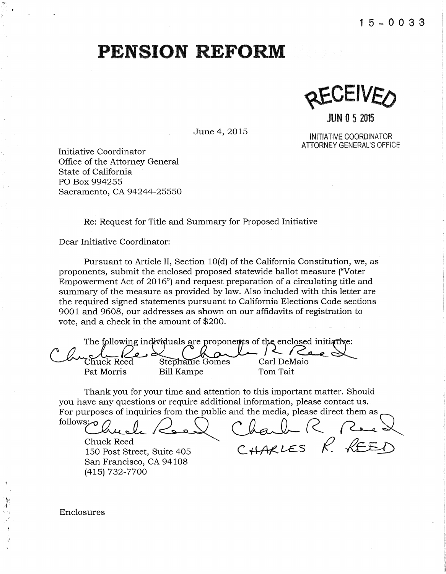$K$ EAFIAE<sup>5</sup>

**JUN 0 5** <sup>2015</sup>

INITIATIVE COORDINATOR ATTORNEY GENERAL'S OFFICE

Initiative Coordinator Office of the Attorney General State of California PO Box 994255 Sacramento, CA 94244-25550

Re: Request for Title and Summary for Proposed Initiative

Dear Initiative Coordinator:

Pursuant to Article II, Section 10(d) of the California Constitution, we, as proponents, submit the enclosed proposed statewide ballot measure ("Voter Empowerment Act of 2016") and request preparation of a circulating title and summary of the measure as provided by law. Also included with this letter are the required signed statements pursuant to California Elections Code sections 9001 and 9608, our addresses as shown on our affidavits of registration to vote, and a check in the amount of \$200.

June 4, 2015

The following individuals are proponeuts of the enclosed initiative: Chuck Reed Stephanie Gomes Carl DeMaio<br>Pat Morris Bill Kampe Tom Tait Bill Kampe

Thank you for your time and attention to this important matter. Should you have any questions or require additional information, please contact us.

 $\overline{a}$  indicates  $\overline{a}$  in  $\overline{a}$  in  $\overline{a}$  in  $\overline{a}$  in  $\overline{a}$  in  $\overline{a}$  in  $\overline{a}$  in  $\overline{a}$  in  $\overline{a}$  in  $\overline{a}$  in  $\overline{a}$  in  $\overline{a}$  in  $\overline{a}$  in  $\overline{a}$  in  $\overline{a}$  in  $\overline{a}$  in  $\overline{a}$  i

Chuck Reed  $\sim$  2.1221 FS  $\varphi$   $\varphi \in \mathbb{R}$ 150 Post Street, Suite 405 C **HARLES** K.  $K \to \infty$ San Francisco, CA 94108 (415) 732-7700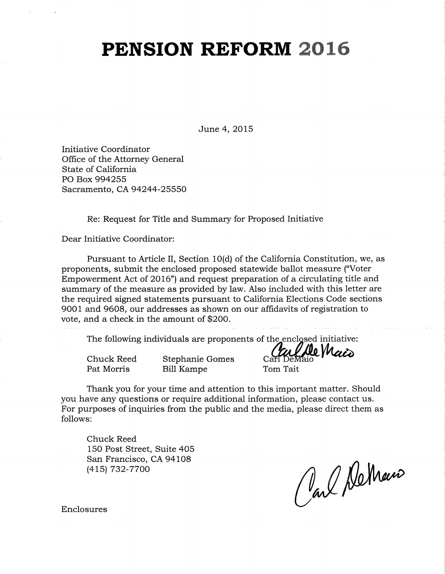June 4, 2015

Initiative Coordinator Office of the Attorney General State of California PO Box 994255 Sacramento, CA 94244-25550

Re: Request for Title and Summary for Proposed Initiative

Dear Initiative Coordinator:

Pursuant to Article II, Section 10(d) of the California Constitution, we, as proponents, submit the enclosed proposed statewide ballot measure ("Voter Empowerment Act of 2016") and request preparation of a circulating title and summary of the measure as provided by law. Also included with this letter are the required signed statements pursuant to California Elections Code sections 9001 and 9608, our addresses as shown on our affidavits of registration to vote, and a check in the amount of \$200.

The following individuals are proponents of the enclosed initiative:<br> $\alpha$ 

Pat Morris

Bill Kampe

Chuck Reed Stephanie Gomes Carl DeMaio

Tom Tait

Thank you for your time and attention to this important matter. Should you have any questions or require additional information, please contact us. For purposes of inquiries from the public and the media, please direct them as follows:

Chuck Reed 150 Post Street, Suite 405 San Francisco, CA 94108 (415) 732-7700

Carl DeMans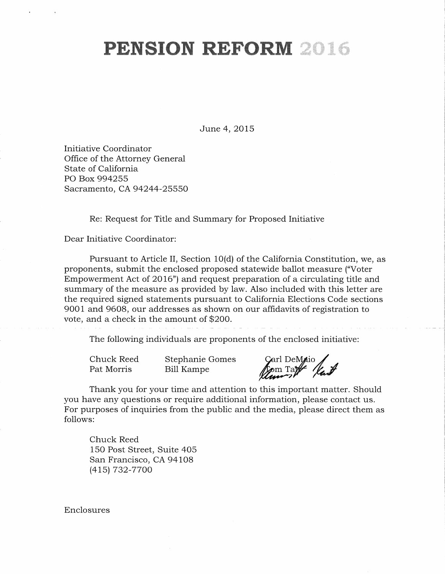June 4, 2015

Initiative Coordinator Office of the Attorney General State of California PO Box 994255 Sacramento, CA 94244-25550

Re: Request for Title and Summary for Proposed Initiative

Dear Initiative Coordinator:

Pursuant to Article II, Section 10(d) of the California Constitution, we, as proponents, submit the enclosed proposed statewide ballot measure ("Voter Empowerment Act of 2016") and request preparation of a circulating title and summary of the measure as provided by law. Also included with this letter are the required signed statements pursuant to California Elections Code sections 9001 and 9608, our addresses as shown on our affidavits of registration to vote, and a check in the amount of \$200.

The following individuals are proponents of the enclosed initiative:

Chuck Reed Pat Morris Stephanie Gomes Bill Kampe

Carl DeMaio

Thank you for your time and attention to this important matter. Should you have any questions or require additional information, please contact us. For purposes of inquiries from the public and the media, please direct them as follows:

Chuck Reed 150 Post Street, Suite 405 San Francisco, CA 94108 (415) 732-7700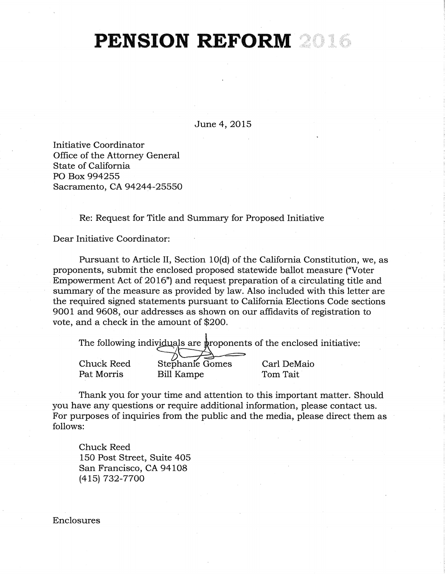June 4, 2015

Initiative Coordinator Office of the Attorney General State of California PO Box 994255 Sacramento, CA 94244-25550

Re: Request for Title and Summary for Proposed Initiative

Dear Initiative Coordinator:

Pursuant to Article II, Section 10(d) of the California Constitution, we, as proponents, submit the enclosed proposed statewide ballot measure ("Voter Empowerment Act of 2016") and request preparation of a circulating title and summary of the measure as provided by law. Also included with this letter are the required signed statements pursuant to California Elections Code sections 9001 and 9608, our addresses as shown on our affidavits of registration to vote, and a check in the amount of \$200.

The following individuals are proponents of the enclosed initiative:

Chuck Reed Pat Morris Stephanie Gomes Bill Kampe Carl DeMaio Tom Tait

Thank you for your time and attention to this important matter. Should you have any questions or require additional information, please contact us. For purposes of inquiries from the public and the media, please direct them as follows:

Chuck Reed 150 Post Street, Suite 405 San Francisco, CA 94108 (415) 732-7700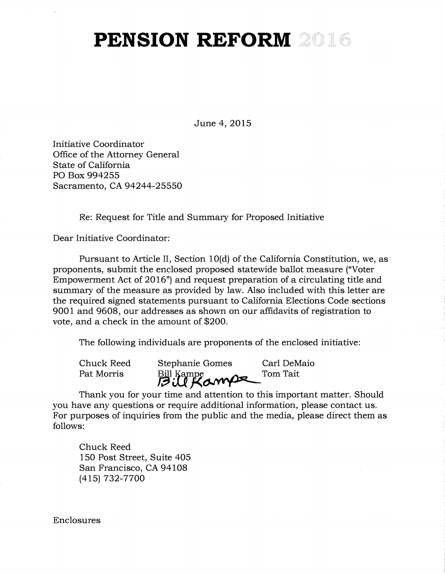June 4, 2015

Initiative Coordinator Office of the Attorney General State of California PO Box 994255 Sacramento, CA 94244-25550

Re: Request for Title and Summary for Proposed Initiative

Dear Initiative Coordinator:

Pursuant to Article II, Section 10(d) of the California Constitution, we, as proponents, submit the enclosed proposed statewide ballot measure ("Voter Empowerment Act of 2016") and request preparation of a circulating title and summary of the measure as provided by law. Also included with this letter are the required signed statements pursuant to California Elections Code sections 9001 and 9608, our addresses as shown on our affidavits of registration to vote, and a check in the amount of \$200.

The following individuals are proponents of the enclosed initiative:

Chuck Reed Stephanie Gomes Carl DeMaio Pat Morris Bill Kampe<br>**Bill Kampe** Tom Tait

Thank you for your time and attention to this important matter. Should you have any questions or require additional information, please contact us. For purposes of inquiries from the public and the media, please direct them as follows:

Chuck Reed 150 Post Street, Suite 405 San Francisco, CA 94108 (415) 732-7700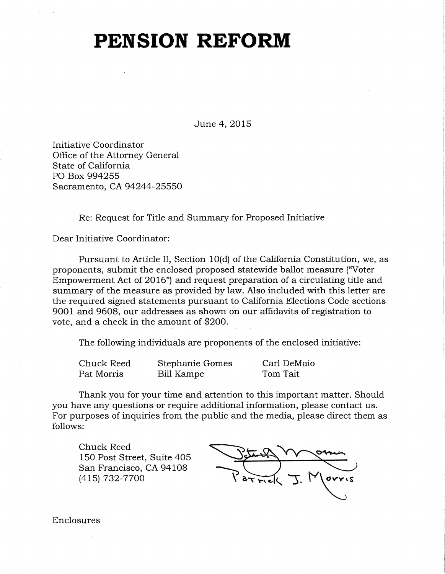June 4, 2015

Initiative Coordinator Office of the Attorney General State of California PO Box 994255 Sacramento, CA 94244-25550

Re: Request for Title and Summary for Proposed Initiative

Dear Initiative Coordinator:

Pursuant to Article II, Section 10(d) of the California Constitution, we, as proponents, submit the enclosed proposed statewide ballot measure ("Voter Empowerment Act of 2016") and request preparation of a circulating title and summary of the measure as provided by law. Also included with this letter are the required signed statements pursuant to California Elections Code sections 9001 and 9608, our addresses as shown on our affidavits of registration to vote, and a check in the amount of \$200.

The following individuals are proponents of the enclosed initiative:

| Chuck Reed | Stephanie Gomes | Carl DeMaio |
|------------|-----------------|-------------|
| Pat Morris | Bill Kampe      | Tom Tait    |

Thank you for your time and attention to this important matter. Should you have any questions or require additional information, please contact us. For purposes of inquiries from the public and the media, please direct them as follows:

Chuck Reed 150 Post Street, Suite 405 San Francisco, CA 94108 (415) 732-7700

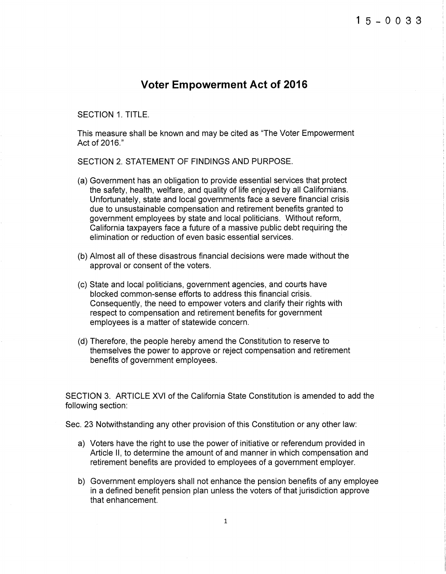#### **Voter Empowerment Act of 2016**

SECTION 1. TITLE.

This measure shall be known and may be cited as "The Voter Empowerment Act of 2016."

SECTION 2. STATEMENT OF FINDINGS AND PURPOSE.

- (a) Government has an obligation to provide essential services that protect the safety, health, welfare, and quality of life enjoyed by all Californians. Unfortunately, state and local governments face a severe financial crisis due to unsustainable compensation and retirement benefits granted to government employees by state and local politicians. Without reform, California taxpayers face a future of a massive public debt requiring the elimination or reduction of even basic essential services.
- (b) Almost all of these disastrous financial decisions were made without the approval or consent of the voters.
- (c) State and local politicians, government agencies, and courts have blocked common-sense efforts to address this financial crisis. Consequently, the need to empower voters and clarify their rights with respect to compensation and retirement benefits for government employees is a matter of statewide concern.
- (d) Therefore, the people hereby amend the Constitution to reserve to themselves the power to approve or reject compensation and retirement benefits of government employees.

SECTION 3. ARTICLE XVI of the California State Constitution is amended to add the following section:

Sec. 23 Notwithstanding any other provision of this Constitution or any other law:

- a) Voters have the right to use the power of initiative or referendum provided in Article II, to determine the amount of and manner in which compensation and retirement benefits are provided to employees of a government employer.
- b) Government employers shall not enhance the pension benefits of any employee in a defined benefit pension plan unless the voters of that jurisdiction approve that enhancement.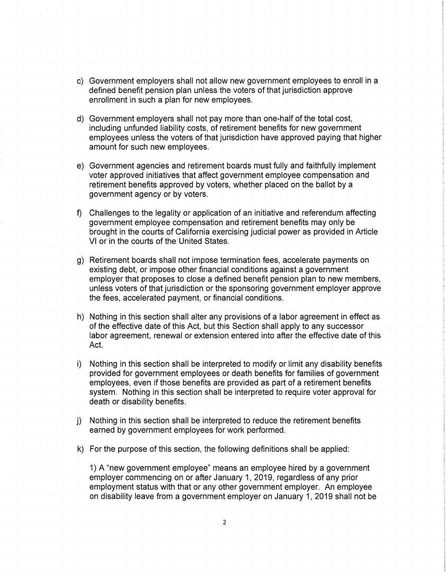- c) Government employers shall not allow new government employees to enroll in a defined benefit pension plan unless the voters of that jurisdiction approve enrollment in such a plan for new employees.
- d) Government employers shall not pay more than one-half of the total cost, including unfunded liability costs, of retirement benefits for new government employees unless the voters of that jurisdiction have approved paying that higher amount for such new employees.
- e) Government agencies and retirement boards must fully and faithfully implement voter approved initiatives that affect government employee compensation and retirement benefits approved by voters, whether placed on the ballot by a government agency or by voters.
- f) Challenges to the legality or application of an initiative and referendum affecting government employee compensation and retirement benefits may only be brought in the courts of California exercising judicial power as provided in Article VI or in the courts of the United States.
- g) Retirement boards shall not impose termination fees, accelerate payments on existing debt, or impose other financial conditions against a government employer that proposes to close a defined benefit pension plan to new members, unless voters of that jurisdiction or the sponsoring government employer approve the fees, accelerated payment, or financial conditions.
- h) Nothing in this section shall alter any provisions of a labor agreement in effect as of the effective date of this Act, but this Section shall apply to any successor labor agreement, renewal or extension entered into after the effective date of this Act.
- i) Nothing in this section shall be interpreted to modify or limit any disability benefits provided for government employees or death benefits for families of government employees, even if those benefits are provided as part of a retirement benefits system. Nothing in this section shall be interpreted to require voter approval for death or disability benefits.
- j) Nothing in this section shall be interpreted to reduce the retirement benefits earned by government employees for work performed.
- k) For the purpose of this section, the following definitions shall be applied:

1) A "new government employee" means an employee hired by a government employer commencing on or after January 1, 2019, regardless of any prior employment status with that or any other government employer. An employee on disability leave from a government employer on January 1, 2019 shall not be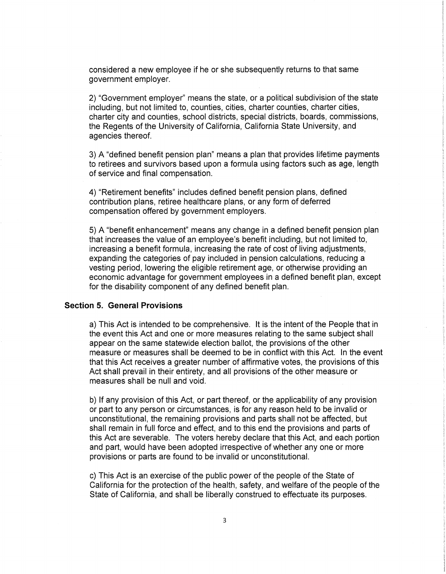considered a new employee if he or she subsequently returns to that same government employer.

2) "Government employer" means the state, or a political subdivision of the state including, but not limited to, counties, cities, charter counties, charter cities, charter city and counties, school districts, special districts, boards, commissions, the Regents of the University of California, California State University, and agencies thereof.

3) A "defined benefit pension plan" means a plan that provides lifetime payments to retirees and survivors based upon a formula using factors such as age, length of service and final compensation.

4) "Retirement benefits" includes defined benefit pension plans, defined contribution plans, retiree health care plans, or any form of deferred compensation offered by government employers.

5) A "benefit enhancement" means any change in a defined benefit pension plan that increases the value of an employee's benefit including, but not limited to, increasing a benefit formula, increasing the rate of cost of living adjustments, expanding the categories of pay included in pension calculations, reducing a vesting period, lowering the eligible retirement age, or otherwise providing an economic advantage for government employees in a defined benefit plan, except for the disability component of any defined benefit plan.

#### **Section 5. General Provisions**

a) This Act is intended to be comprehensive. It is the intent of the People that in the event this Act and one or more measures relating to the same subject shall appear on the same statewide election ballot, the provisions of the other measure or measures shall be deemed to be in conflict with this Act. In the event that this Act receives a greater number of affirmative votes, the provisions of this Act shall prevail in their entirety, and all provisions of the other measure or measures shall be null and void.

b) If any provision of this Act, or part thereof, or the applicability of any provision or part to any person or circumstances, is for any reason held to be invalid or unconstitutional, the remaining provisions and parts shall not be affected, but shall remain in full force and effect, and to this end the provisions and parts of this Act are severable. The voters hereby declare that this Act, and each portion and part, would have been adopted irrespective of whether any one or more provisions or parts are found to be invalid or unconstitutional.

c) This Act is an exercise of the public power of the people of the State of California for the protection of the health, safety, and welfare of the people of the State of California, and shall be liberally construed to effectuate its purposes.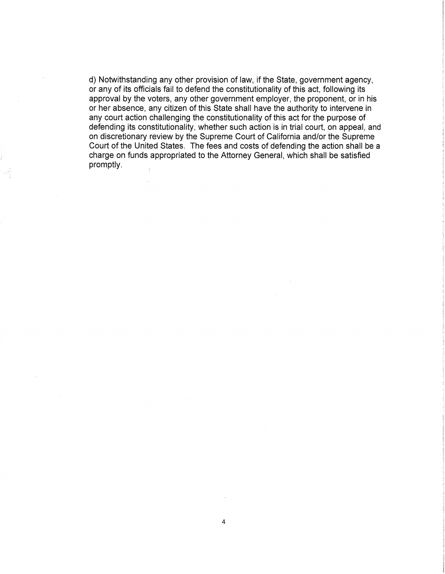d) Notwithstanding any other provision of law, if the State, government agency, or any of its officials fail to defend the constitutionality of this act, following its approval by the voters, any other government employer, the proponent, or in his or her absence, any citizen of this State shall have the authority to intervene in any court action challenging the constitutionality of this act for the purpose of defending its constitutionality, whether such action is in trial court, on appeal, and on discretionary review by the Supreme Court of California and/or the Supreme Court of the United States. The fees and costs of defending the action shall be a charge on funds appropriated to the Attorney General, which shall be satisfied promptly.  $\tilde{\tau}$ 

4